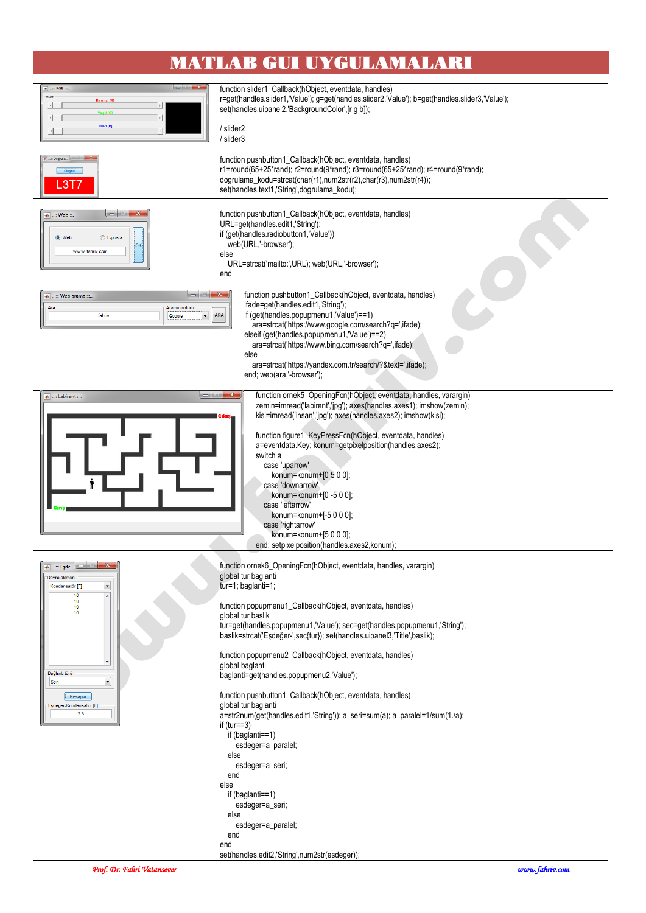## **MATLAB GUI UYGULAMALARI**



function slider1\_Callback(hObject, eventdata, handles) r=get(handles.slider1,'Value'); g=get(handles.slider2,'Value'); b=get(handles.slider3,'Value'); set(handles.uipanel2,'BackgroundColor',[r g b]);